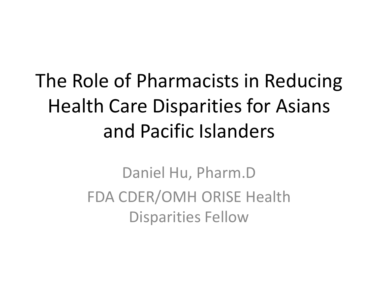#### The Role of Pharmacists in Reducing Health Care Disparities for Asians and Pacific Islanders

Daniel Hu, Pharm.D FDA CDER/OMH ORISE Health Disparities Fellow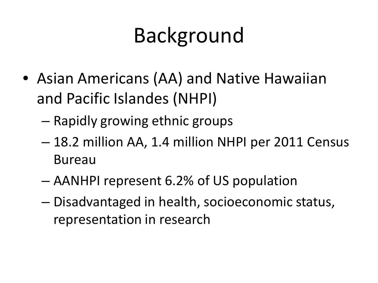- Asian Americans (AA) and Native Hawaiian and Pacific Islandes (NHPI)
	- Rapidly growing ethnic groups
	- 18.2 million AA, 1.4 million NHPI per 2011 Census Bureau
	- AANHPI represent 6.2% of US population
	- Disadvantaged in health, socioeconomic status, representation in research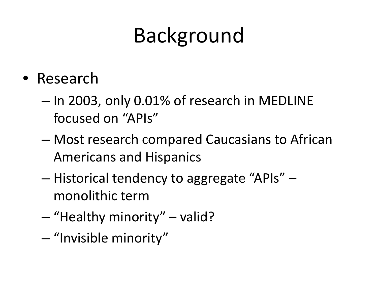- Research
	- In 2003, only 0.01% of research in MEDLINE focused on "APIs"
	- Most research compared Caucasians to African Americans and Hispanics
	- Historical tendency to aggregate "APIs" monolithic term
	- "Healthy minority" valid?
	- "Invisible minority"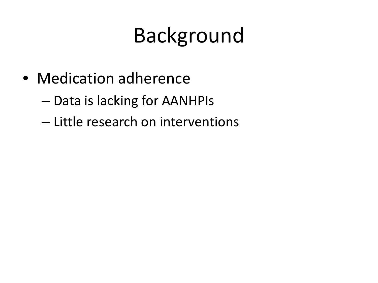- Medication adherence
	- Data is lacking for AANHPIs
	- Little research on interventions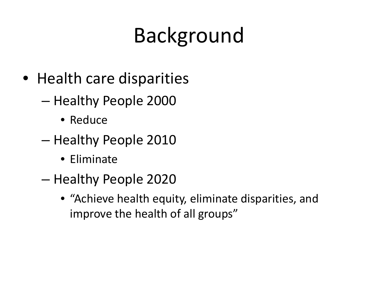- Health care disparities
	- Healthy People 2000
		- Reduce
	- Healthy People 2010
		- Eliminate
	- Healthy People 2020
		- "Achieve health equity, eliminate disparities, and improve the health of all groups"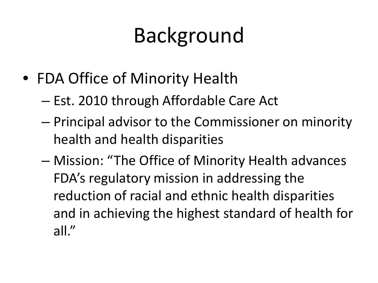- FDA Office of Minority Health
	- Est. 2010 through Affordable Care Act
	- Principal advisor to the Commissioner on minority health and health disparities
	- Mission: "The Office of Minority Health advances FDA's regulatory mission in addressing the reduction of racial and ethnic health disparities and in achieving the highest standard of health for all."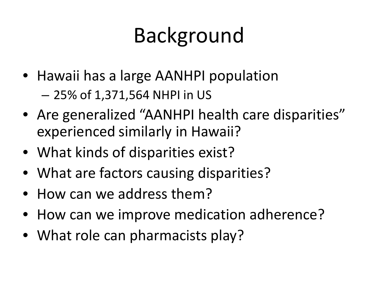- Hawaii has a large AANHPI population – 25% of 1,371,564 NHPI in US
- Are generalized "AANHPI health care disparities" experienced similarly in Hawaii?
- What kinds of disparities exist?
- What are factors causing disparities?
- How can we address them?
- How can we improve medication adherence?
- What role can pharmacists play?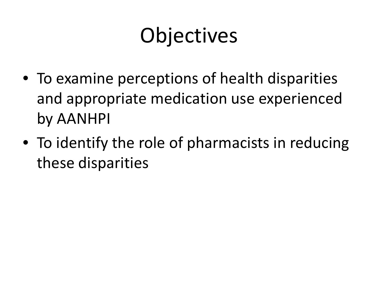#### **Objectives**

- To examine perceptions of health disparities and appropriate medication use experienced by AANHPI
- To identify the role of pharmacists in reducing these disparities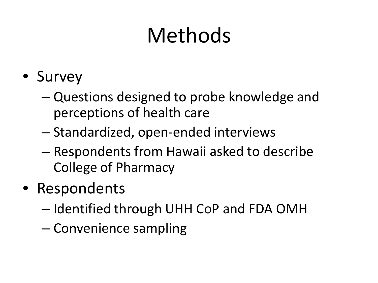# Methods

- Survey
	- Questions designed to probe knowledge and perceptions of health care
	- Standardized, open-ended interviews
	- Respondents from Hawaii asked to describe College of Pharmacy
- Respondents
	- Identified through UHH CoP and FDA OMH
	- Convenience sampling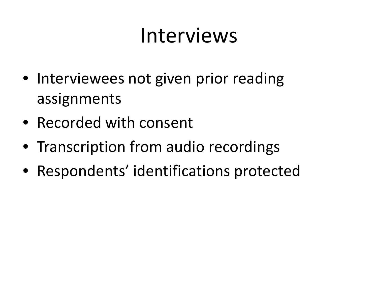#### Interviews

- Interviewees not given prior reading assignments
- Recorded with consent
- Transcription from audio recordings
- Respondents' identifications protected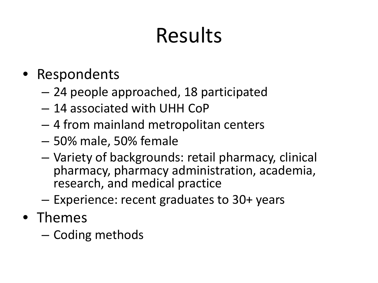# Results

- Respondents
	- 24 people approached, 18 participated
	- 14 associated with UHH CoP
	- 4 from mainland metropolitan centers
	- 50% male, 50% female
	- Variety of backgrounds: retail pharmacy, clinical pharmacy, pharmacy administration, academia, research, and medical practice
	- Experience: recent graduates to 30+ years
- Themes
	- Coding methods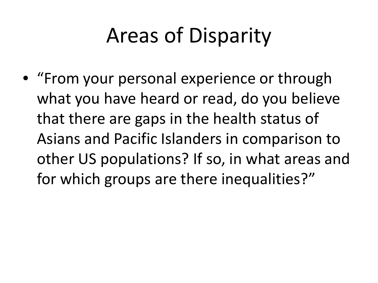• "From your personal experience or through what you have heard or read, do you believe that there are gaps in the health status of Asians and Pacific Islanders in comparison to other US populations? If so, in what areas and for which groups are there inequalities?"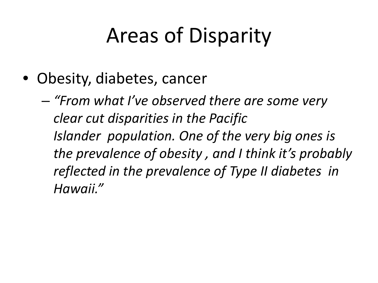- Obesity, diabetes, cancer
	- *"From what I've observed there are some very clear cut disparities in the Pacific Islander population. One of the very big ones is the prevalence of obesity , and I think it's probably reflected in the prevalence of Type II diabetes in Hawaii."*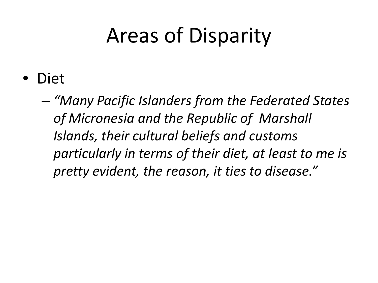• Diet

– *"Many Pacific Islanders from the Federated States of Micronesia and the Republic of Marshall Islands, their cultural beliefs and customs particularly in terms of their diet, at least to me is pretty evident, the reason, it ties to disease."*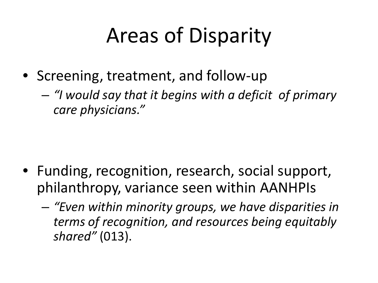• Screening, treatment, and follow-up

– *"I would say that it begins with a deficit of primary care physicians."*

- Funding, recognition, research, social support, philanthropy, variance seen within AANHPIs
	- *"Even within minority groups, we have disparities in terms of recognition, and resources being equitably shared"* (013).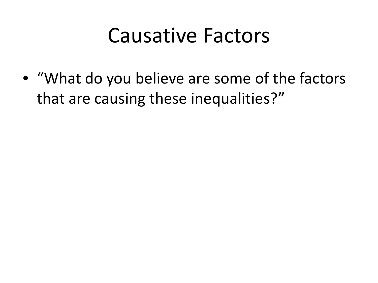• "What do you believe are some of the factors that are causing these inequalities?"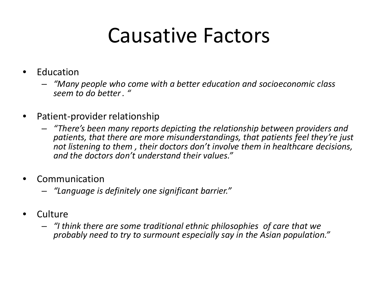- **Education** 
	- *"Many people who come with a better education and socioeconomic class seem to do better. "*
- Patient-provider relationship
	- *"There's been many reports depicting the relationship between providers and patients, that there are more misunderstandings, that patients feel they're just not listening to them , their doctors don't involve them in healthcare decisions, and the doctors don't understand their values."*
- **Communication** 
	- *"Language is definitely one significant barrier."*
- Culture
	- *"I think there are some traditional ethnic philosophies of care that we probably need to try to surmount especially say in the Asian population."*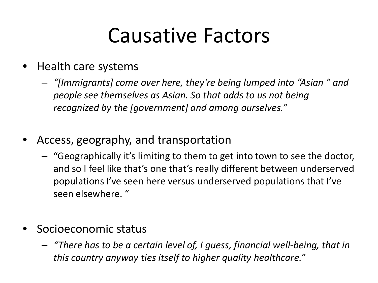- Health care systems
	- *"[Immigrants] come over here, they're being lumped into "Asian " and people see themselves as Asian. So that adds to us not being recognized by the [government] and among ourselves."*
- Access, geography, and transportation
	- "Geographically it's limiting to them to get into town to see the doctor, and so I feel like that's one that's really different between underserved populations I've seen here versus underserved populations that I've seen elsewhere. "
- Socioeconomic status
	- *"There has to be a certain level of, I guess, financial well-being, that in this country anyway ties itself to higher quality healthcare."*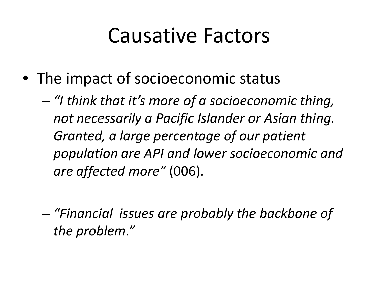- The impact of socioeconomic status
	- *"I think that it's more of a socioeconomic thing, not necessarily a Pacific Islander or Asian thing. Granted, a large percentage of our patient population are API and lower socioeconomic and are affected more"* (006).
	- *"Financial issues are probably the backbone of the problem."*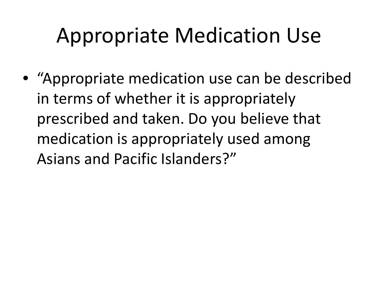#### Appropriate Medication Use

• "Appropriate medication use can be described in terms of whether it is appropriately prescribed and taken. Do you believe that medication is appropriately used among Asians and Pacific Islanders?"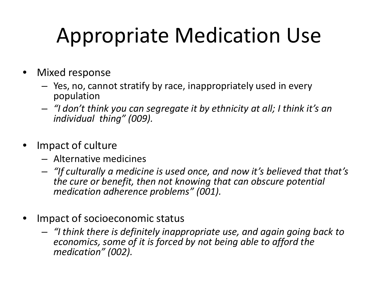# Appropriate Medication Use

- Mixed response
	- Yes, no, cannot stratify by race, inappropriately used in every population
	- *"I don't think you can segregate it by ethnicity at all; I think it's an individual thing" (009).*
- Impact of culture
	- Alternative medicines
	- *"If culturally a medicine is used once, and now it's believed that that's the cure or benefit, then not knowing that can obscure potential medication adherence problems" (001).*
- Impact of socioeconomic status
	- *"I think there is definitely inappropriate use, and again going back to economics, some of it is forced by not being able to afford the medication" (002).*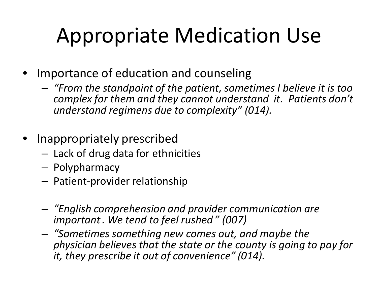# Appropriate Medication Use

- Importance of education and counseling
	- *"From the standpoint of the patient, sometimes I believe it is too complex for them and they cannot understand it. Patients don't understand regimens due to complexity" (014).*
- Inappropriately prescribed
	- Lack of drug data for ethnicities
	- Polypharmacy
	- Patient-provider relationship
	- *"English comprehension and provider communication are important. We tend to feel rushed " (007)*
	- *"Sometimes something new comes out, and maybe the physician believes that the state or the county is going to pay for it, they prescribe it out of convenience" (014).*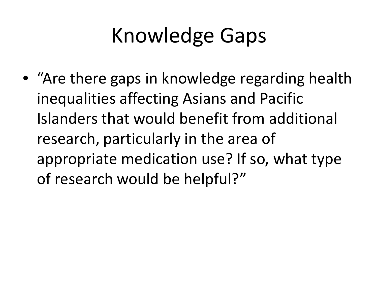# Knowledge Gaps

• "Are there gaps in knowledge regarding health inequalities affecting Asians and Pacific Islanders that would benefit from additional research, particularly in the area of appropriate medication use? If so, what type of research would be helpful?"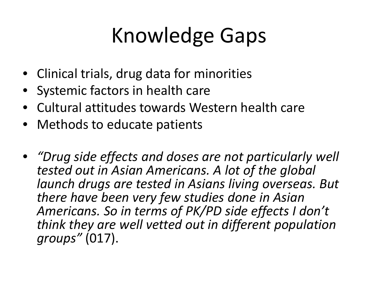# Knowledge Gaps

- Clinical trials, drug data for minorities
- Systemic factors in health care
- Cultural attitudes towards Western health care
- Methods to educate patients
- *"Drug side effects and doses are not particularly well tested out in Asian Americans. A lot of the global launch drugs are tested in Asians living overseas. But there have been very few studies done in Asian Americans. So in terms of PK/PD side effects I don't think they are well vetted out in different population groups"* (017).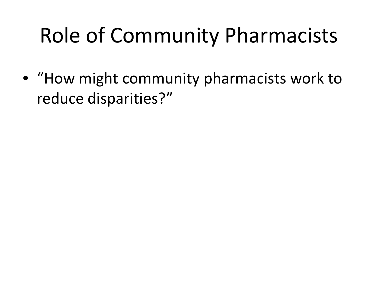# Role of Community Pharmacists

• "How might community pharmacists work to reduce disparities?"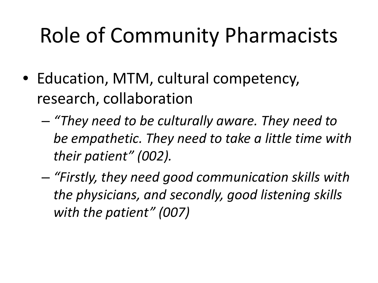#### Role of Community Pharmacists

- Education, MTM, cultural competency, research, collaboration
	- *"They need to be culturally aware. They need to be empathetic. They need to take a little time with their patient" (002).*
	- *"Firstly, they need good communication skills with the physicians, and secondly, good listening skills with the patient" (007)*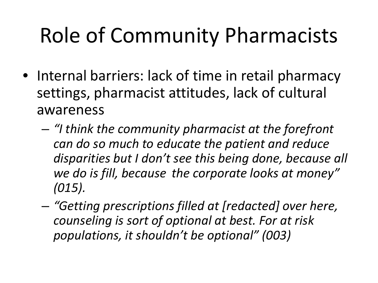# Role of Community Pharmacists

- Internal barriers: lack of time in retail pharmacy settings, pharmacist attitudes, lack of cultural awareness
	- *"I think the community pharmacist at the forefront can do so much to educate the patient and reduce disparities but I don't see this being done, because all we do is fill, because the corporate looks at money" (015).*
	- *"Getting prescriptions filled at [redacted] over here, counseling is sort of optional at best. For at risk populations, it shouldn't be optional" (003)*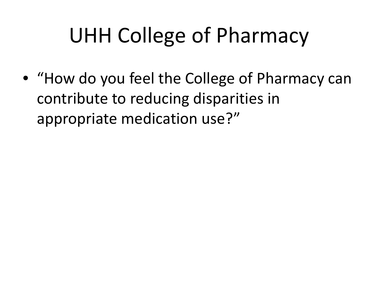#### UHH College of Pharmacy

• "How do you feel the College of Pharmacy can contribute to reducing disparities in appropriate medication use?"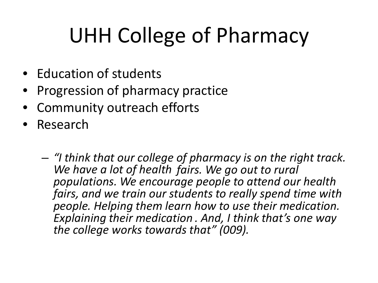# UHH College of Pharmacy

- Education of students
- Progression of pharmacy practice
- Community outreach efforts
- Research

– *"I think that our college of pharmacy is on the right track. We have a lot of health fairs. We go out to rural populations. We encourage people to attend our health fairs, and we train our students to really spend time with people. Helping them learn how to use their medication. Explaining their medication . And, I think that's one way the college works towards that" (009).*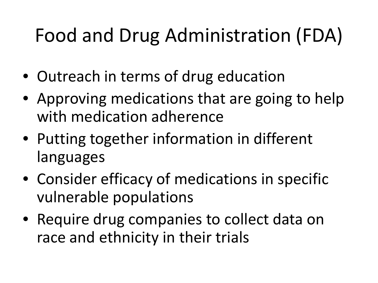#### Food and Drug Administration (FDA)

- Outreach in terms of drug education
- Approving medications that are going to help with medication adherence
- Putting together information in different languages
- Consider efficacy of medications in specific vulnerable populations
- Require drug companies to collect data on race and ethnicity in their trials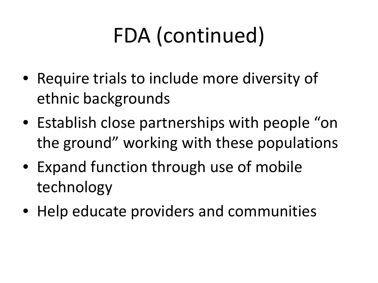# FDA (continued)

- Require trials to include more diversity of ethnic backgrounds
- Establish close partnerships with people "on the ground" working with these populations
- Expand function through use of mobile technology
- Help educate providers and communities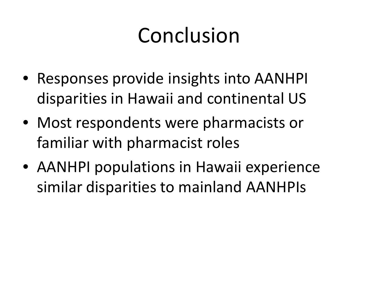#### Conclusion

- Responses provide insights into AANHPI disparities in Hawaii and continental US
- Most respondents were pharmacists or familiar with pharmacist roles
- AANHPI populations in Hawaii experience similar disparities to mainland AANHPIs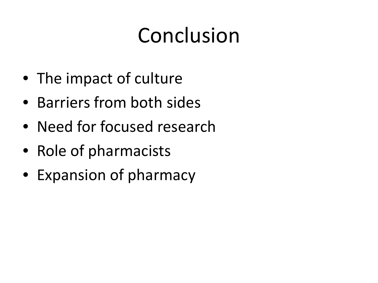# Conclusion

- The impact of culture
- Barriers from both sides
- Need for focused research
- Role of pharmacists
- Expansion of pharmacy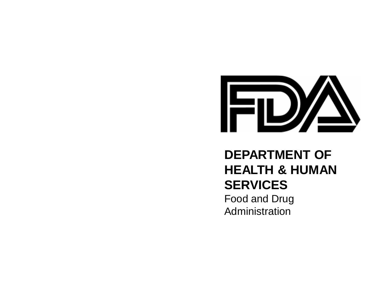

#### **DEPARTMENT OF HEALTH & HUMAN SERVICES** Food and Drug Administration